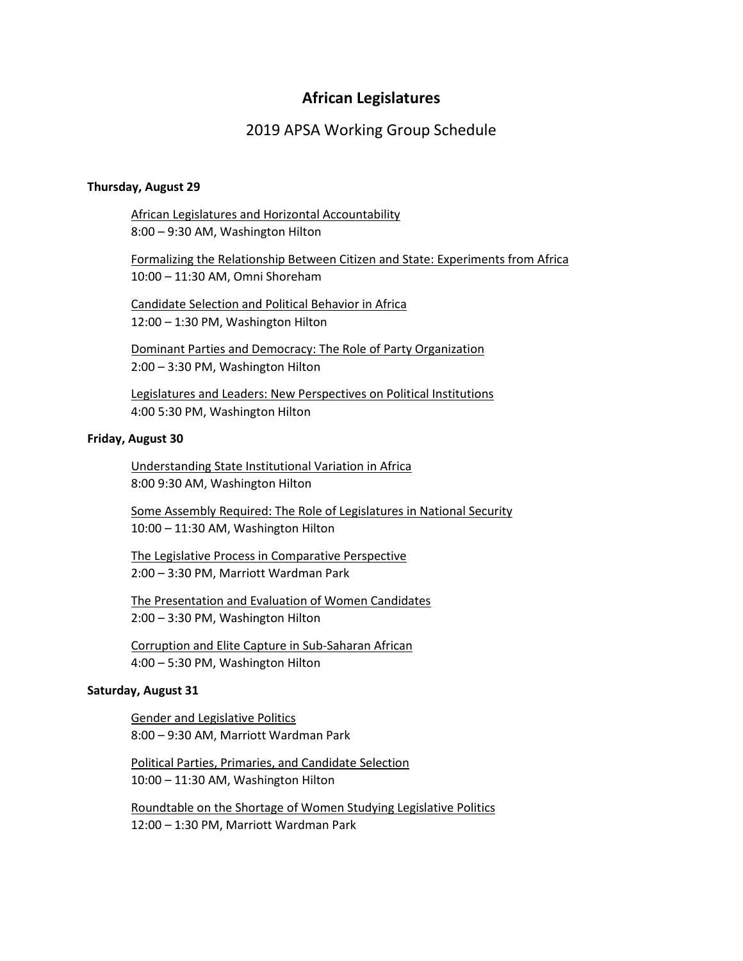# **African Legislatures**

## 2019 APSA Working Group Schedule

#### **Thursday, August 29**

African Legislatures and Horizontal Accountability 8:00 – 9:30 AM, Washington Hilton

Formalizing the Relationship Between Citizen and State: Experiments from Africa 10:00 – 11:30 AM, Omni Shoreham

Candidate Selection and Political Behavior in Africa 12:00 – 1:30 PM, Washington Hilton

Dominant Parties and Democracy: The Role of Party Organization 2:00 – 3:30 PM, Washington Hilton

Legislatures and Leaders: New Perspectives on Political Institutions 4:00 5:30 PM, Washington Hilton

#### **Friday, August 30**

Understanding State Institutional Variation in Africa 8:00 9:30 AM, Washington Hilton

Some Assembly Required: The Role of Legislatures in National Security 10:00 – 11:30 AM, Washington Hilton

The Legislative Process in Comparative Perspective 2:00 – 3:30 PM, Marriott Wardman Park

The Presentation and Evaluation of Women Candidates 2:00 – 3:30 PM, Washington Hilton

Corruption and Elite Capture in Sub-Saharan African 4:00 – 5:30 PM, Washington Hilton

#### **Saturday, August 31**

Gender and Legislative Politics 8:00 – 9:30 AM, Marriott Wardman Park

Political Parties, Primaries, and Candidate Selection 10:00 – 11:30 AM, Washington Hilton

Roundtable on the Shortage of Women Studying Legislative Politics 12:00 – 1:30 PM, Marriott Wardman Park